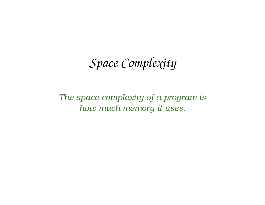*Space Complexity*

*The space complexity of a program is how much memory it uses.*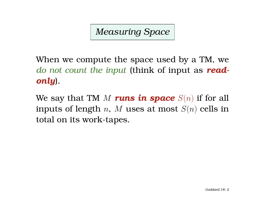*Measuring Space*

When we compute the space used by a TM, we *do not count the input* (think of input as *readonly*).

We say that TM  $M$  runs in space  $S(n)$  if for all inputs of length n, M uses at most  $S(n)$  cells in total on its work-tapes.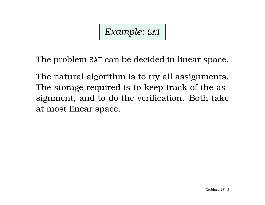*Example:* SAT

The problem SAT can be decided in linear space.

The natural algorithm is to try all assignments. The storage required is to keep track of the assignment, and to do the verification. Both take at most linear space.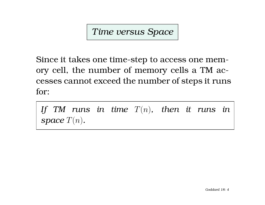*Time versus Space*

Since it takes one time-step to access one memory cell, the number of memory cells a TM accesses cannot exceed the number of steps it runs for:

*If TM runs in time* T(n)*, then it runs in space*  $T(n)$ *.*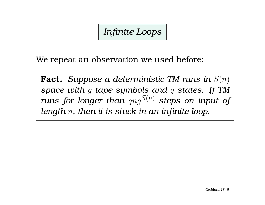*Infinite Loops*

We repeat an observation we used before:

**Fact.** *Suppose a deterministic TM runs in* S(n) *space with* g *tape symbols and* q *states. If TM runs for longer than*  $qng^{S(n)}$  *steps on input of length* n*, then it is stuck in an infinite loop.*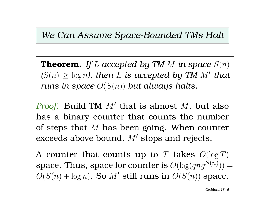#### *We Can Assume Space-Bounded TMs Halt*

**Theorem.** If L accepted by TM M in space  $S(n)$  $(S(n) \geq \log n)$ , then L is accepted by TM M' that *runs in space* O(S(n)) *but always halts.*

*Proof.* Build TM  $M'$  that is almost  $M$ , but also has a binary counter that counts the number of steps that  $M$  has been going. When counter exceeds above bound,  $M'$  stops and rejects.

A counter that counts up to T takes  $O(\log T)$ space. Thus, space for counter is  $O(\log (qng^{S(n)}))=$  $O(S(n) + \log n)$ . So M' still runs in  $O(S(n))$  space.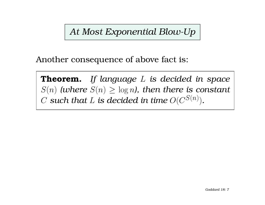*At Most Exponential Blow-Up*

Another consequence of above fact is:

**Theorem.** *If language* L *is decided in space*  $S(n)$  (where  $S(n) \geq \log n$ ), then there is constant  $C$  such that  $L$  is decided in time  $O(C^{S(n)})$ .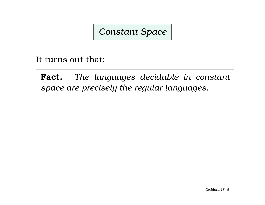### *Constant Space*

It turns out that:

**Fact.** *The languages decidable in constant space are precisely the regular languages.*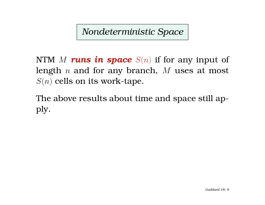*Nondeterministic Space*

NTM  $M$  runs in space  $S(n)$  if for any input of length  $n$  and for any branch,  $M$  uses at most  $S(n)$  cells on its work-tape.

The above results about time and space still apply.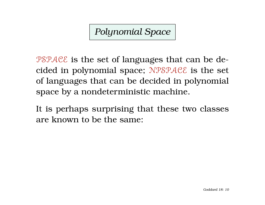*Polynomial Space*

 $PSPACE$  is the set of languages that can be decided in polynomial space; NPSPACE is the set of languages that can be decided in polynomial space by a nondeterministic machine.

It is perhaps surprising that these two classes are known to be the same: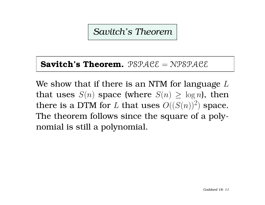*Savitch's Theorem*

#### **Savitch's Theorem.** PSPACE = NPSPACE

We show that if there is an NTM for language  $L$ that uses  $S(n)$  space (where  $S(n) \geq \log n$ ), then there is a DTM for L that uses  $O((S(n))^2)$  space. The theorem follows since the square of a polynomial is still a polynomial.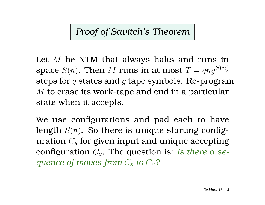# *Proof of Savitch's Theorem*

Let  $M$  be NTM that always halts and runs in space  $S(n)$ . Then M runs in at most  $T = qnq^{S(n)}$ steps for  $q$  states and  $q$  tape symbols. Re-program M to erase its work-tape and end in a particular state when it accepts.

We use configurations and pad each to have length  $S(n)$ . So there is unique starting configuration  $C_s$  for given input and unique accepting configuration  $C_a$ . The question is: *is there a seguence of moves from*  $C_s$  *to*  $C_a$ ?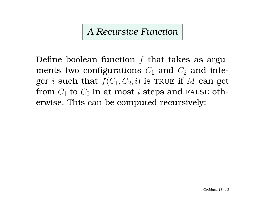### *A Recursive Function*

Define boolean function  $f$  that takes as arguments two configurations  $C_1$  and  $C_2$  and integer  $i$  such that  $f(C_1,C_2,i)$  is TRUE if  $M$  can get from  $C_1$  to  $C_2$  in at most  $i$  steps and FALSE otherwise. This can be computed recursively: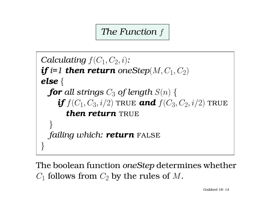*The Function* f

```
Calculating f(C_1, C_2, i):
\textbf{\textit{i}}\textbf{\textit{f}} i=1 then return oneStep(M, C_1, C_2)
else {
  for all strings C_3 of length S(n) {
      \textbf{\textit{i}} f(C_1, C_3, i/2) \text{ TRUE} and f(C_3, C_2, i/2) TRUE
         then return TRUE
   }
  failing which: return FALSE
}
```
The boolean function *oneStep* determines whether  $C_1$  follows from  $C_2$  by the rules of  $M$ .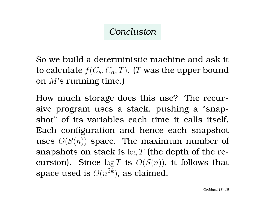### *Conclusion*

So we build a deterministic machine and ask it to calculate  $f(C_s, C_a, T)$ . (T was the upper bound on M's running time.)

How much storage does this use? The recursive program uses a stack, pushing a "snapshot" of its variables each time it calls itself. Each configuration and hence each snapshot uses  $O(S(n))$  space. The maximum number of snapshots on stack is  $\log T$  (the depth of the recursion). Since  $\log T$  is  $O(S(n))$ , it follows that space used is  $O(n^{2k})$ , as claimed.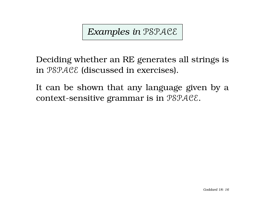*Examples in* PSPACE

Deciding whether an RE generates all strings is in PSPACE (discussed in exercises).

It can be shown that any language given by a context-sensitive grammar is in PSPACE.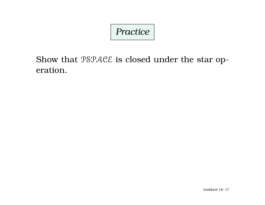# *Practice*

Show that  $\mathcal{PSPACE}$  is closed under the star operation.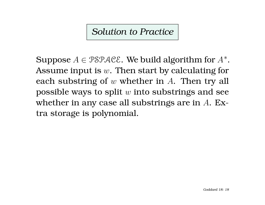# *Solution to Practice*

Suppose  $A \in \mathcal{PSPACE}$ . We build algorithm for  $A^*$ . Assume input is  $w$ . Then start by calculating for each substring of  $w$  whether in  $A$ . Then try all possible ways to split  $w$  into substrings and see whether in any case all substrings are in A. Extra storage is polynomial.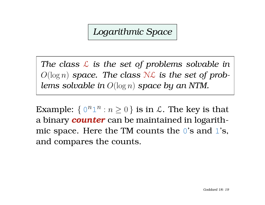*Logarithmic Space*

*The class* L *is the set of problems solvable in*  $O(\log n)$  *space. The class*  $N\mathcal{L}$  *is the set of problems solvable in* O(log n) *space by an NTM.*

Example:  $\{ 0^n 1^n : n \ge 0 \}$  is in  $\mathcal{L}$ . The key is that a binary *counter* can be maintained in logarithmic space. Here the TM counts the  $0$ 's and  $1$ 's, and compares the counts.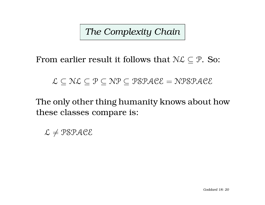*The Complexity Chain*

From earlier result it follows that  $N\mathcal{L} \subseteq \mathcal{P}$ . So:

#### $\mathcal{L} \subset \mathcal{NL} \subset \mathcal{P} \subset \mathcal{NP} \subset \mathcal{PSPACE} = \mathcal{N} \mathcal{PSPACE}$

The only other thing humanity knows about how these classes compare is:

 $L \neq PSPACE$